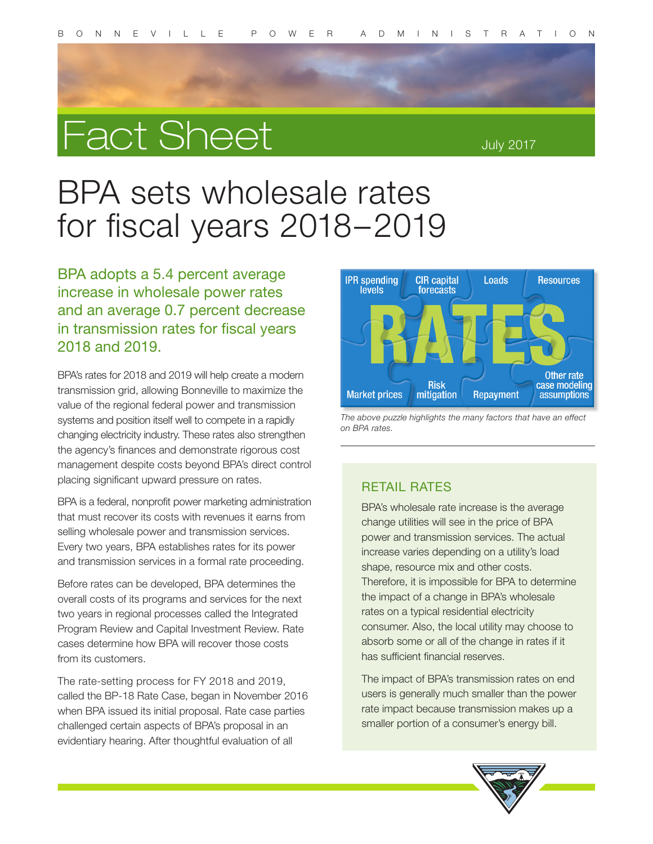

July 2017

# BPA sets wholesale rates for fiscal years 2018–2019

BPA adopts a 5.4 percent average increase in wholesale power rates and an average 0.7 percent decrease in transmission rates for fiscal years 2018 and 2019.

BPA's rates for 2018 and 2019 will help create a modern transmission grid, allowing Bonneville to maximize the value of the regional federal power and transmission systems and position itself well to compete in a rapidly changing electricity industry. These rates also strengthen the agency's finances and demonstrate rigorous cost management despite costs beyond BPA's direct control placing significant upward pressure on rates.

BPA is a federal, nonprofit power marketing administration that must recover its costs with revenues it earns from selling wholesale power and transmission services. Every two years, BPA establishes rates for its power and transmission services in a formal rate proceeding.

Before rates can be developed, BPA determines the overall costs of its programs and services for the next two years in regional processes called the Integrated Program Review and Capital Investment Review. Rate cases determine how BPA will recover those costs from its customers.

The rate-setting process for FY 2018 and 2019, called the BP-18 Rate Case, began in November 2016 when BPA issued its initial proposal. Rate case parties challenged certain aspects of BPA's proposal in an evidentiary hearing. After thoughtful evaluation of all



*The above puzzle highlights the many factors that have an effect on BPA rates.* 

#### RETAIL RATES

BPA's wholesale rate increase is the average change utilities will see in the price of BPA power and transmission services. The actual increase varies depending on a utility's load shape, resource mix and other costs. Therefore, it is impossible for BPA to determine the impact of a change in BPA's wholesale rates on a typical residential electricity consumer. Also, the local utility may choose to absorb some or all of the change in rates if it has sufficient financial reserves.

The impact of BPA's transmission rates on end users is generally much smaller than the power rate impact because transmission makes up a smaller portion of a consumer's energy bill.

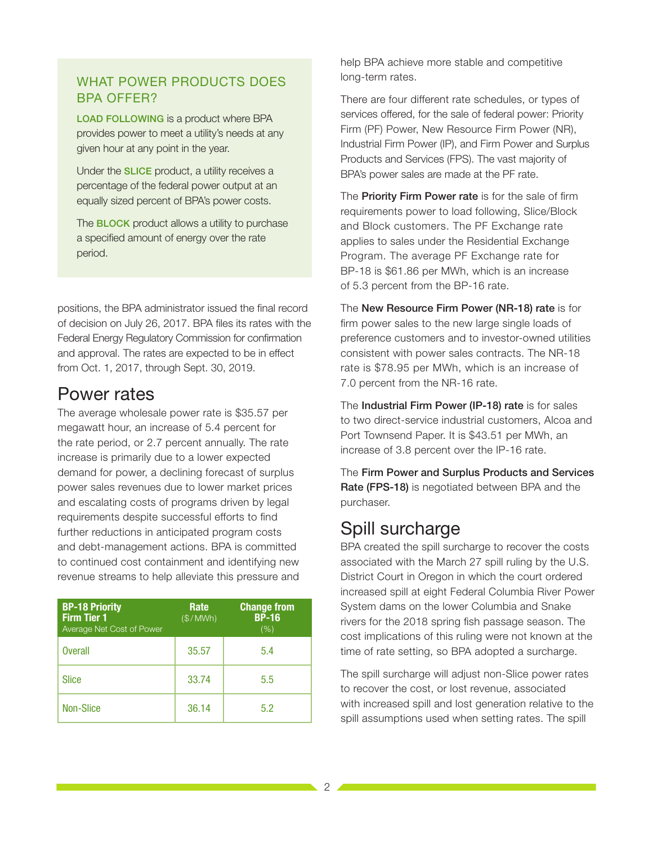#### WHAT POWER PRODUCTS DOES BPA OFFER?

LOAD FOLLOWING is a product where BPA provides power to meet a utility's needs at any given hour at any point in the year.

Under the SLICE product, a utility receives a percentage of the federal power output at an equally sized percent of BPA's power costs.

The **BLOCK** product allows a utility to purchase a specified amount of energy over the rate period.

positions, the BPA administrator issued the final record of decision on July 26, 2017. BPA files its rates with the Federal Energy Regulatory Commission for confirmation and approval. The rates are expected to be in effect from Oct. 1, 2017, through Sept. 30, 2019.

## Power rates

The average wholesale power rate is \$35.57 per megawatt hour, an increase of 5.4 percent for the rate period, or 2.7 percent annually. The rate increase is primarily due to a lower expected demand for power, a declining forecast of surplus power sales revenues due to lower market prices and escalating costs of programs driven by legal requirements despite successful efforts to find further reductions in anticipated program costs and debt-management actions. BPA is committed to continued cost containment and identifying new revenue streams to help alleviate this pressure and

| <b>BP-18 Priority</b><br><b>Firm Tier 1</b><br>Average Net Cost of Power | Rate<br>(S/MWh) | <b>Change from</b><br><b>BP-16</b><br>(% ) |
|--------------------------------------------------------------------------|-----------------|--------------------------------------------|
| <b>Overall</b>                                                           | 35.57           | 5.4                                        |
| <b>Slice</b>                                                             | 33.74           | 5.5                                        |
| <b>Non-Slice</b>                                                         | 36.14           | 5.2                                        |

help BPA achieve more stable and competitive long-term rates.

There are four different rate schedules, or types of services offered, for the sale of federal power: Priority Firm (PF) Power, New Resource Firm Power (NR), Industrial Firm Power (IP), and Firm Power and Surplus Products and Services (FPS). The vast majority of BPA's power sales are made at the PF rate.

The **Priority Firm Power rate** is for the sale of firm requirements power to load following, Slice/Block and Block customers. The PF Exchange rate applies to sales under the Residential Exchange Program. The average PF Exchange rate for BP-18 is \$61.86 per MWh, which is an increase of 5.3 percent from the BP-16 rate.

The New Resource Firm Power (NR-18) rate is for firm power sales to the new large single loads of preference customers and to investor-owned utilities consistent with power sales contracts. The NR-18 rate is \$78.95 per MWh, which is an increase of 7.0 percent from the NR-16 rate.

The Industrial Firm Power (IP-18) rate is for sales to two direct-service industrial customers, Alcoa and Port Townsend Paper. It is \$43.51 per MWh, an increase of 3.8 percent over the IP-16 rate.

The Firm Power and Surplus Products and Services Rate (FPS-18) is negotiated between BPA and the purchaser.

# Spill surcharge

BPA created the spill surcharge to recover the costs associated with the March 27 spill ruling by the U.S. District Court in Oregon in which the court ordered increased spill at eight Federal Columbia River Power System dams on the lower Columbia and Snake rivers for the 2018 spring fish passage season. The cost implications of this ruling were not known at the time of rate setting, so BPA adopted a surcharge.

The spill surcharge will adjust non-Slice power rates to recover the cost, or lost revenue, associated with increased spill and lost generation relative to the spill assumptions used when setting rates. The spill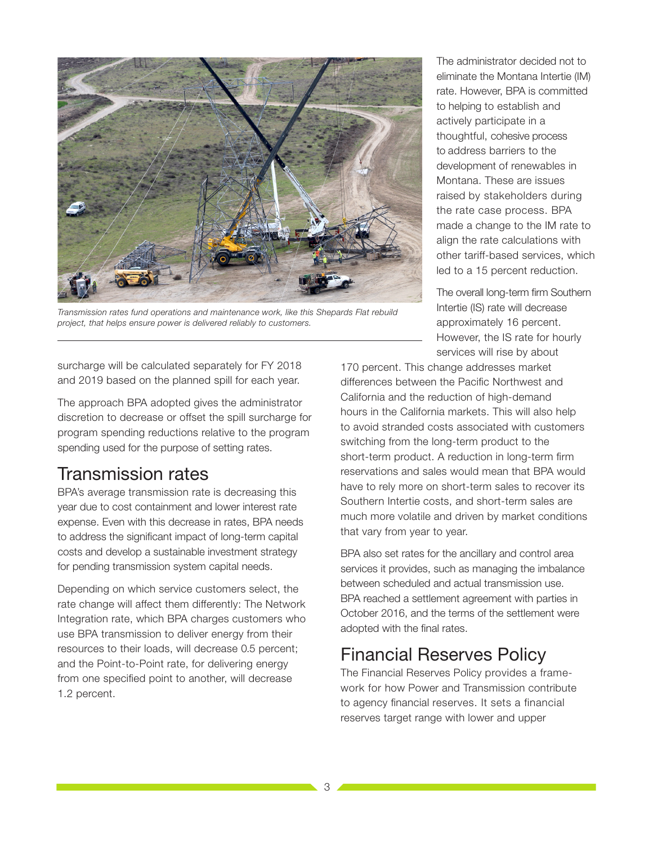

*Transmission rates fund operations and maintenance work, like this Shepards Flat rebuild project, that helps ensure power is delivered reliably to customers.* 

surcharge will be calculated separately for FY 2018 and 2019 based on the planned spill for each year.

The approach BPA adopted gives the administrator discretion to decrease or offset the spill surcharge for program spending reductions relative to the program spending used for the purpose of setting rates.

### Transmission rates

BPA's average transmission rate is decreasing this year due to cost containment and lower interest rate expense. Even with this decrease in rates, BPA needs to address the significant impact of long-term capital costs and develop a sustainable investment strategy for pending transmission system capital needs.

Depending on which service customers select, the rate change will affect them differently: The Network Integration rate, which BPA charges customers who use BPA transmission to deliver energy from their resources to their loads, will decrease 0.5 percent; and the Point-to-Point rate, for delivering energy from one specified point to another, will decrease 1.2 percent.

The administrator decided not to eliminate the Montana Intertie (IM) rate. However, BPA is committed to helping to establish and actively participate in a thoughtful, cohesive process to address barriers to the development of renewables in Montana. These are issues raised by stakeholders during the rate case process. BPA made a change to the IM rate to align the rate calculations with other tariff-based services, which led to a 15 percent reduction.

The overall long-term firm Southern Intertie (IS) rate will decrease approximately 16 percent. However, the IS rate for hourly services will rise by about

170 percent. This change addresses market differences between the Pacific Northwest and California and the reduction of high-demand hours in the California markets. This will also help to avoid stranded costs associated with customers switching from the long-term product to the short-term product. A reduction in long-term firm reservations and sales would mean that BPA would have to rely more on short-term sales to recover its Southern Intertie costs, and short-term sales are much more volatile and driven by market conditions that vary from year to year.

BPA also set rates for the ancillary and control area services it provides, such as managing the imbalance between scheduled and actual transmission use. BPA reached a settlement agreement with parties in October 2016, and the terms of the settlement were adopted with the final rates.

# Financial Reserves Policy

The Financial Reserves Policy provides a framework for how Power and Transmission contribute to agency financial reserves. It sets a financial reserves target range with lower and upper